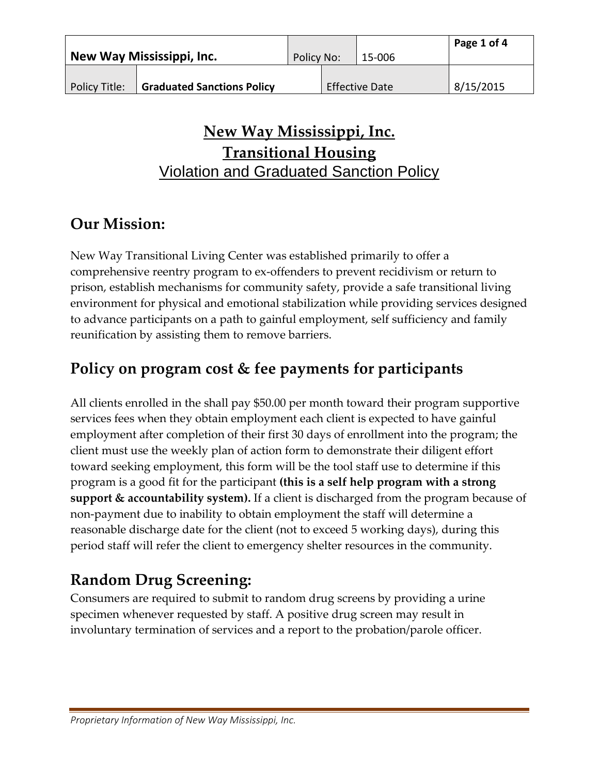| New Way Mississippi, Inc. |                                   | Policy No: |  | 15-006                | Page 1 of 4 |
|---------------------------|-----------------------------------|------------|--|-----------------------|-------------|
| Policy Title:             | <b>Graduated Sanctions Policy</b> |            |  | <b>Effective Date</b> | 8/15/2015   |

## **New Way Mississippi, Inc. Transitional Housing** Violation and Graduated Sanction Policy

# **Our Mission:**

New Way Transitional Living Center was established primarily to offer a comprehensive reentry program to ex-offenders to prevent recidivism or return to prison, establish mechanisms for community safety, provide a safe transitional living environment for physical and emotional stabilization while providing services designed to advance participants on a path to gainful employment, self sufficiency and family reunification by assisting them to remove barriers.

# **Policy on program cost & fee payments for participants**

All clients enrolled in the shall pay \$50.00 per month toward their program supportive services fees when they obtain employment each client is expected to have gainful employment after completion of their first 30 days of enrollment into the program; the client must use the weekly plan of action form to demonstrate their diligent effort toward seeking employment, this form will be the tool staff use to determine if this program is a good fit for the participant **(this is a self help program with a strong support & accountability system).** If a client is discharged from the program because of non-payment due to inability to obtain employment the staff will determine a reasonable discharge date for the client (not to exceed 5 working days), during this period staff will refer the client to emergency shelter resources in the community.

# **Random Drug Screening:**

Consumers are required to submit to random drug screens by providing a urine specimen whenever requested by staff. A positive drug screen may result in involuntary termination of services and a report to the probation/parole officer.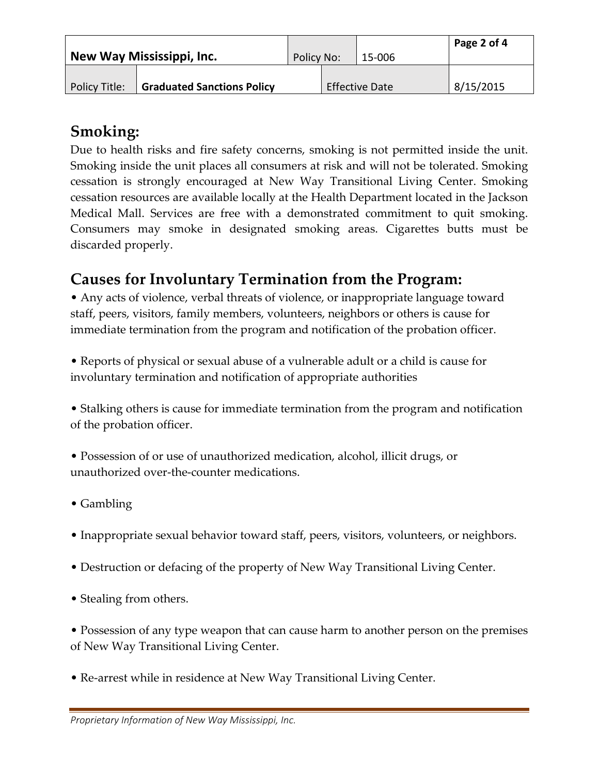| New Way Mississippi, Inc. |                                   | Policy No: |  | 15-006                | Page 2 of 4 |
|---------------------------|-----------------------------------|------------|--|-----------------------|-------------|
| Policy Title:             | <b>Graduated Sanctions Policy</b> |            |  | <b>Effective Date</b> | 8/15/2015   |

### **Smoking:**

Due to health risks and fire safety concerns, smoking is not permitted inside the unit. Smoking inside the unit places all consumers at risk and will not be tolerated. Smoking cessation is strongly encouraged at New Way Transitional Living Center. Smoking cessation resources are available locally at the Health Department located in the Jackson Medical Mall. Services are free with a demonstrated commitment to quit smoking. Consumers may smoke in designated smoking areas. Cigarettes butts must be discarded properly.

## **Causes for Involuntary Termination from the Program:**

• Any acts of violence, verbal threats of violence, or inappropriate language toward staff, peers, visitors, family members, volunteers, neighbors or others is cause for immediate termination from the program and notification of the probation officer.

• Reports of physical or sexual abuse of a vulnerable adult or a child is cause for involuntary termination and notification of appropriate authorities

• Stalking others is cause for immediate termination from the program and notification of the probation officer.

• Possession of or use of unauthorized medication, alcohol, illicit drugs, or unauthorized over-the-counter medications.

- Gambling
- Inappropriate sexual behavior toward staff, peers, visitors, volunteers, or neighbors.
- Destruction or defacing of the property of New Way Transitional Living Center.
- Stealing from others.

• Possession of any type weapon that can cause harm to another person on the premises of New Way Transitional Living Center.

• Re-arrest while in residence at New Way Transitional Living Center.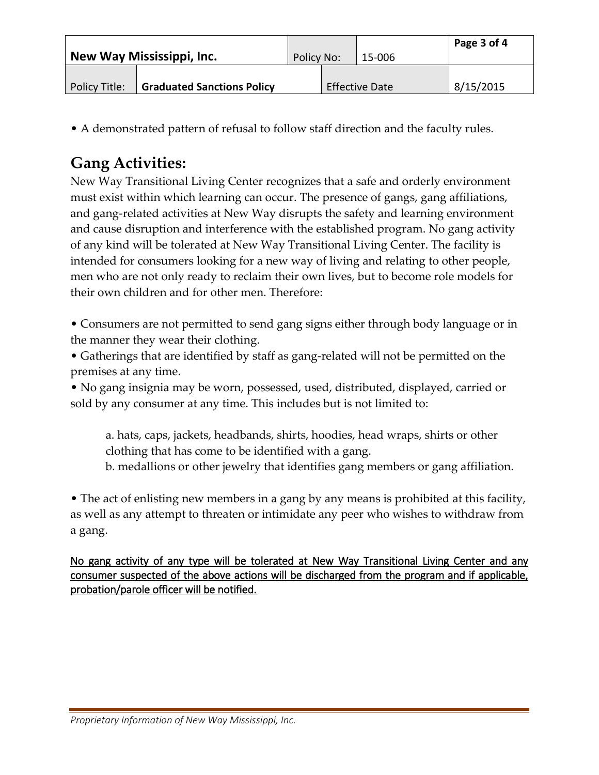| New Way Mississippi, Inc. |                                   | Policy No: |  | 15-006                | Page $3$ of $4$ |
|---------------------------|-----------------------------------|------------|--|-----------------------|-----------------|
|                           |                                   |            |  |                       |                 |
|                           |                                   |            |  |                       |                 |
| Policy Title:             | <b>Graduated Sanctions Policy</b> |            |  | <b>Effective Date</b> | 8/15/2015       |

• A demonstrated pattern of refusal to follow staff direction and the faculty rules.

# **Gang Activities:**

New Way Transitional Living Center recognizes that a safe and orderly environment must exist within which learning can occur. The presence of gangs, gang affiliations, and gang-related activities at New Way disrupts the safety and learning environment and cause disruption and interference with the established program. No gang activity of any kind will be tolerated at New Way Transitional Living Center. The facility is intended for consumers looking for a new way of living and relating to other people, men who are not only ready to reclaim their own lives, but to become role models for their own children and for other men. Therefore:

• Consumers are not permitted to send gang signs either through body language or in the manner they wear their clothing.

• Gatherings that are identified by staff as gang-related will not be permitted on the premises at any time.

• No gang insignia may be worn, possessed, used, distributed, displayed, carried or sold by any consumer at any time. This includes but is not limited to:

a. hats, caps, jackets, headbands, shirts, hoodies, head wraps, shirts or other clothing that has come to be identified with a gang.

b. medallions or other jewelry that identifies gang members or gang affiliation.

• The act of enlisting new members in a gang by any means is prohibited at this facility, as well as any attempt to threaten or intimidate any peer who wishes to withdraw from a gang.

No gang activity of any type will be tolerated at New Way Transitional Living Center and any consumer suspected of the above actions will be discharged from the program and if applicable, probation/parole officer will be notified.